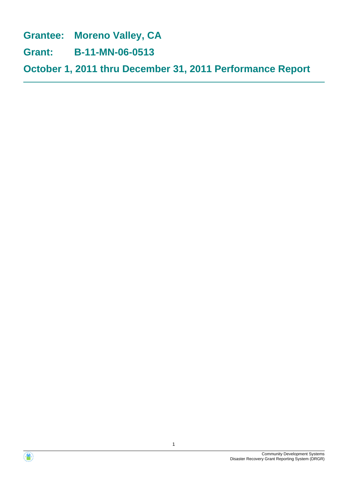**Grantee: Moreno Valley, CA**

**Grant: B-11-MN-06-0513**

**October 1, 2011 thru December 31, 2011 Performance Report**



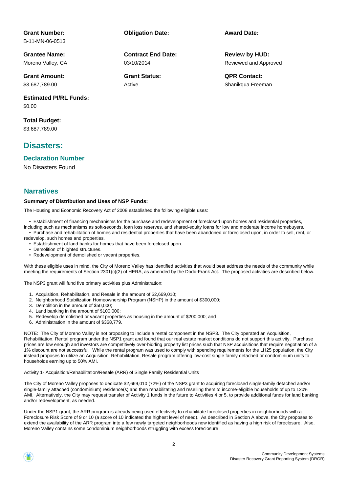### **Grant Number:**

B-11-MN-06-0513

**Grantee Name:** Moreno Valley, CA

**Grant Amount:** \$3,687,789.00

**Estimated PI/RL Funds:** \$0.00

**Total Budget:** \$3,687,789.00

### **Disasters:**

#### **Declaration Number**

No Disasters Found

### **Narratives**

#### **Summary of Distribution and Uses of NSP Funds:**

The Housing and Economic Recovery Act of 2008 established the following eligible uses:

03/10/2014

Active

**Contract End Date:**

• Establishment of financing mechanisms for the purchase and redevelopment of foreclosed upon homes and residential properties,

including such as mechanisms as soft-seconds, loan loss reserves, and shared-equity loans for low and moderate income homebuyers. • Purchase and rehabilitation of homes and residential properties that have been abandoned or foreclosed upon, in order to sell, rent, or

redevelop, such homes and properties.

• Establishment of land banks for homes that have been foreclosed upon.

- Demolition of blighted structures.
- Redevelopment of demolished or vacant properties.

With these eligible uses in mind, the City of Moreno Valley has identified activities that would best address the needs of the community while meeting the requirements of Section 2301(c)(2) of HERA, as amended by the Dodd-Frank Act. The proposed activities are described below.

The NSP3 grant will fund five primary activities plus Administration:

- 1. Acquisition, Rehabilitation, and Resale in the amount of \$2,669,010;
- 2. Neighborhood Stabilization Homeownership Program (NSHP) in the amount of \$300,000;
- 3. Demolition in the amount of \$50,000;
- 4. Land banking in the amount of \$100,000;
- 5. Redevelop demolished or vacant properties as housing in the amount of \$200,000; and
- 6. Administration in the amount of \$368,779.

NOTE: The City of Moreno Valley is not proposing to include a rental component in the NSP3. The City operated an Acquisition, Rehabilitation, Rental program under the NSP1 grant and found that our real estate market conditions do not support this activity. Purchase prices are low enough and investors are competitively over-bidding property list prices such that NSP acquisitions that require negotiation of a 1% discount are not successful. While the rental program was used to comply with spending requirements for the LH25 population, the City instead proposes to utilize an Acquisition, Rehabilitation, Resale program offering low-cost single family detached or condominium units to households earning up to 50% AMI.

Activity 1- Acquisition/Rehabilitation/Resale (ARR) of Single Family Residential Units

The City of Moreno Valley proposes to dedicate \$2,669,010 (72%) of the NSP3 grant to acquiring foreclosed single-family detached and/or single-family attached (condominium) residence(s) and then rehabilitating and reselling them to income-eligible households of up to 120% AMI. Alternatively, the City may request transfer of Activity 1 funds in the future to Activities 4 or 5, to provide additional funds for land banking and/or redevelopment, as needed.

Under the NSP1 grant, the ARR program is already being used effectively to rehabilitate foreclosed properties in neighborhoods with a Foreclosure Risk Score of 9 or 10 (a score of 10 indicated the highest level of need). As described in Section A above, the City proposes to extend the availability of the ARR program into a few newly targeted neighborhoods now identified as having a high risk of foreclosure. Also, Moreno Valley contains some condominium neighborhoods struggling with excess foreclosure

# **Obligation Date: Award Date:**

Reviewed and Approved **Review by HUD:**

**Grant Status: QPR Contact:** Shanikqua Freeman

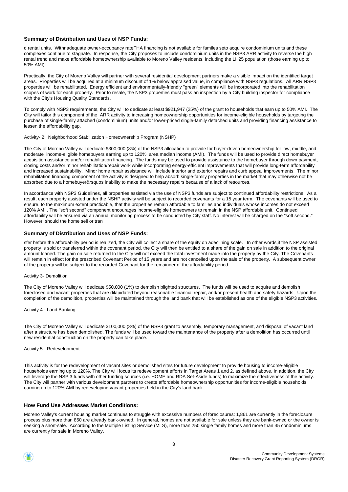#### **Summary of Distribution and Uses of NSP Funds:**

d rental units. Withnadequate owner-occupancy rateFHA financing is not available for familes seto acquire condominium units and these complexes continue to stagnate. In response, the City proposes to include condominium units in the NSP3 ARR activity to reverse the high rental trend and make affordable homeownership available to Moreno Valley residents, including the LH25 population (those earning up to 50% AMI).

Practically, the City of Moreno Valley will partner with several residential development partners make a visible impact on the identified target areas. Properties will be acquired at a minimum discount of 1% below appraised value, in compliance with NSP3 regulations. All ARR NSP3 properties will be rehabilitated. Energy efficient and environmentally-friendly "green" elements will be incorporated into the rehabilitation scopes of work for each property. Prior to resale, the NSP3 properties must pass an inspection by a City building inspector for compliance with the City's Housing Quality Standards.

To comply with NSP3 requirements, the City will to dedicate at least \$921,947 (25%) of the grant to households that earn up to 50% AMI. The City will tailor this component of the ARR activity to increasing homeownership opportunities for income-eligible households by targeting the purchase of single-family attached (condominium) units and/or lower-priced single-family detached units and providing financing assistance to lessen the affordability gap.

Activity- 2: Neighborhood Stabilization Homeownership Program (NSHP)

The City of Moreno Valley will dedicate \$300,000 (8%) of the NSP3 allocation to provide for buyer-driven homeownership for low, middle, and moderate income-eligible homebuyers earning up to 120% area median income (AMI). The funds will be used to provide direct homebuyer acquisition assistance and/or rehabilitation financing. The funds may be used to provide assistance to the homebuyer through down payment, closing costs and/or minor rehabilitation/repair work while incorporating energy-efficient improvements that will provide long-term affordability and increased sustainability. Minor home repair assistance will include interior and exterior repairs and curb appeal improvements. The minor rehabilitation financing component of the activity is designed to help absorb single-family properties in the market that may otherwise not be absorbed due to a homebuyer&rsquos inability to make the necessary repairs because of a lack of resources.

In accordance with NSP3 Guidelines, all properties assisted via the use of NSP3 funds are subject to continued affordability restrictions. As a result, each property assisted under the NSHP activity will be subject to recorded covenants for a 15 year term. The covenants will be used to ensure, to the maximum extent practicable, that the properties remain affordable to families and individuals whose incomes do not exceed 120% AMI . The "soft second" component encourages income-eligible homeowners to remain in the NSP affordable unit. Continued affordability will be ensured via an annual monitoring process to be conducted by City staff. No interest will be charged on the "soft second." However, should the home sell or tran

#### **Summary of Distribution and Uses of NSP Funds:**

sfer before the affordability period is realized, the City will collect a share of the equity on adeclining scale. In other words,if the NSP assisted property is sold or transferred within the covenant period, the City will then be entitled to a share of the gain on sale in addition to the original amount loaned. The gain on sale returned to the City will not exceed the total investment made into the property by the City. The Covenants will remain in effect for the prescribed Covenant Period of 15 years and are not cancelled upon the sale of the property. A subsequent owner of the property will be subject to the recorded Covenant for the remainder of the affordability period.

#### Activity 3- Demolition

The City of Moreno Valley will dedicate \$50,000 (1%) to demolish blighted structures. The funds will be used to acquire and demolish foreclosed and vacant properties that are dilapidated beyond reasonable financial repair, and/or present health and safety hazards. Upon the completion of the demolition, properties will be maintained through the land bank that will be established as one of the eligible NSP3 activities.

Activity 4 - Land Banking

The City of Moreno Valley will dedicate \$100,000 (3%) of the NSP3 grant to assembly, temporary management, and disposal of vacant land after a structure has been demolished. The funds will be used toward the maintenance of the property after a demolition has occurred until new residential construction on the property can take place.

#### Activity 5 - Redevelopment

This activity is for the redevelopment of vacant sites or demolished sites for future development to provide housing to income-eligible households earning up to 120%. The City will focus its redevelopment efforts in Target Areas 1 and 2, as defined above. In addition, the City will leverage the NSP 3 funds with other funding sources (i.e. HOME and RDA Set-Aside funds) to maximize the effectiveness of the activity. The City will partner with various development partners to create affordable homeownership opportunities for income-eligible households earning up to 120% AMI by redeveloping vacant properties held in the City's land bank.

#### **How Fund Use Addresses Market Conditions:**

Moreno Valley's current housing market continues to struggle with excessive numbers of foreclosures: 1,861 are currently in the foreclosure process plus more than 850 are already bank-owned. In general, homes are not available for sale unless they are bank-owned or the owner is seeking a short-sale. According to the Multiple Listing Service (MLS), more than 250 single family homes and more than 45 condominiums are currently for sale in Moreno Valley.



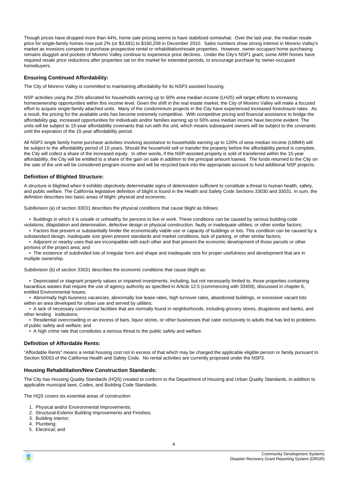Though prices have dropped more than 44%, home sale pricing seems to have stabilized somewhat. Over the last year, the median resale price for single-family homes rose just 2% (or \$3,681) to \$160,208 in December 2010. Sales numbers show strong interest in Moreno Valley's market as investors compete to purchase prospective rental or rehabilitation/resale properties. However, owner-occupant home purchasing remains sluggish and pockets of Moreno Valley continue to experience price declines. Under the City's NSP1 grant, some ARR homes have required resale price reductions after properties sat on the market for extended periods, to encourage purchase by owner-occupant homebuyers.

#### **Ensuring Continued Affordability:**

The City of Moreno Valley is committed to maintaining affordability for its NSP3 assisted housing.

NSP activities using the 25% allocated for households earning up to 50% area median income (LH25) will target efforts to increasing homeownership opportunities within this income level. Given the shift in the real estate market, the City of Moreno Valley will make a focused effort to acquire single-family attached units. Many of the condominium projects in the City have experienced increased foreclosure rates. As a result, the pricing for the available units has become extremely competitive. With competitive pricing and financial assistance to bridge the affordability gap, increased opportunities for individuals and/or families earning up to 50% area median income have become evident. The units will be subject to 15-year affordability covenants that run with the unit, which means subsequent owners will be subject to the covenants until the expiration of the 15-year affordability period.

All NSP3 single family home purchase activities involving assistance to households earning up to 120% of area median income (LMMH) will be subject to the affordability period of 15 years. Should the household sell or transfer the property before the affordability period is complete, the City will collect a share of the increased equity. In other words, if the NSP-assisted property is sold of transferred within the 15-year affordability, the City will be entitled to a share of the gain on sale in addition to the principal amount loaned. The funds returned to the City on the sale of the unit will be considered program income and will be recycled back into the appropriate account to fund additional NSP projects.

#### **Definition of Blighted Structure:**

A structure is blighted when it exhibits objectively determinable signs of deterioration sufficient to constitute a threat to human health, safety, and public welfare. The California legislative definition of blight is found in the Health and Safety Code Sections 33030 and 33031. In sum, the definition describes two basic areas of blight: physical and economic.

Subdivision (a) of section 33031 describes the physical conditions that cause blight as follows:

 • Buildings in which it is unsafe or unhealthy for persons to live or work. These conditions can be caused by serious building code violations, dilapidation and deterioration, defective design or physical construction, faulty or inadequate utilities, or other similar factors;

 • Factors that prevent or substantially hinder the economically viable use or capacity of buildings or lots. This condition can be caused by a substandard design, inadequate size given present standards and market conditions, lack of parking, or other similar factors;

 • Adjacent or nearby uses that are incompatible with each other and that prevent the economic development of those parcels or other portions of the project area; and

 • The existence of subdivided lots of irregular form and shape and inadequate size for proper usefulness and development that are in multiple ownership.

Subdivision (b) of section 33031 describes the economic conditions that cause blight as:

 • Depreciated or stagnant property values or impaired investments, including, but not necessarily limited to, those properties containing hazardous wastes that require the use of agency authority as specified in Article 12.5 (commencing with 33459), discussed in chapter 6, entitled Environmental Issues;

 • Abnormally high business vacancies, abnormally low lease rates, high turnover rates, abandoned buildings, or excessive vacant lots within an area developed for urban use and served by utilities;

 • A lack of necessary commercial facilities that are normally found in neighborhoods, including grocery stores, drugstores and banks, and other lending institutions;

 • Residential overcrowding or an excess of bars, liquor stores, or other businesses that cater exclusively to adults that has led to problems of public safety and welfare; and

• A high crime rate that constitutes a serious threat to the public safety and welfare.

#### **Definition of Affordable Rents:**

"Affordable Rents" means a rental housing cost not in excess of that which may be charged the applicable eligible person or family pursuant to Section 50053 of the California Health and Safety Code. No rental activities are currently proposed under the NSP3.

#### **Housing Rehabilitation/New Construction Standards:**

The City has Housing Quality Standards (HQS) created to conform to the Department of Housing and Urban Quality Standards, in addition to applicable municipal laws, Codes, and Building Code Standards.

The HQS covers six essential areas of construction:

- 1. Physical and/or Environmental Improvements;
- 2. Structural-Exterior Building Improvements and Finishes;
- 3. Building Interior;
- 4. Plumbing;
- 5. Electrical; and

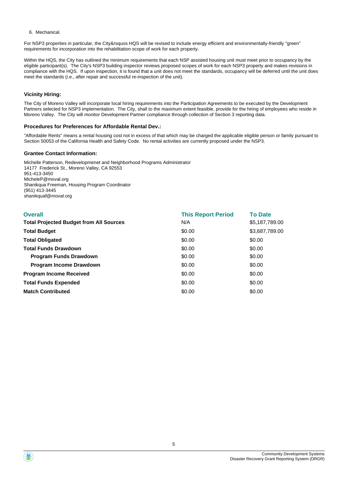#### 6. Mechanical.

For NSP3 properties in particular, the City&rsquos HQS will be revised to include energy efficient and environmentally-friendly "green" requirements for incorporation into the rehabilitation scope of work for each property.

Within the HQS, the City has outlined the minimum requirements that each NSP assisted housing unit must meet prior to occupancy by the eligible participant(s). The City's NSP3 building inspector reviews proposed scopes of work for each NSP3 property and makes revisions in compliance with the HQS. If upon inspection, it is found that a unit does not meet the standards, occupancy will be deferred until the unit does meet the standards (i.e., after repair and successful re-inspection of the unit).

#### **Vicinity Hiring:**

The City of Moreno Valley will incorporate local hiring requirements into the Participation Agreements to be executed by the Development Partners selected for NSP3 implementation. The City, shall to the maximum extent feasible, provide for the hiring of employees who reside in Moreno Valley. The City will monitor Development Partner compliance through collection of Section 3 reporting data.

#### **Procedures for Preferences for Affordable Rental Dev.:**

"Affordable Rents" means a rental housing cost not in excess of that which may be charged the applicable eligible person or family pursuant to Section 50053 of the California Health and Safety Code. No rental activities are currently proposed under the NSP3.

#### **Grantee Contact Information:**

Michelle Patterson, Redevelopmenet and Neighborhood Programs Administrator 14177 Frederick St., Moreno Valley, CA 92553 951-413-3450 MicheleP@moval.org Shanikqua Freeman, Housing Program Coordinator (951) 413-3445 shanikquaf@moval.org

| <b>Overall</b>                                 | <b>This Report Period</b> | <b>To Date</b> |
|------------------------------------------------|---------------------------|----------------|
| <b>Total Projected Budget from All Sources</b> | N/A                       | \$5,187,789.00 |
| <b>Total Budget</b>                            | \$0.00                    | \$3,687,789.00 |
| <b>Total Obligated</b>                         | \$0.00                    | \$0.00         |
| <b>Total Funds Drawdown</b>                    | \$0.00                    | \$0.00         |
| <b>Program Funds Drawdown</b>                  | \$0.00                    | \$0.00         |
| <b>Program Income Drawdown</b>                 | \$0.00                    | \$0.00         |
| <b>Program Income Received</b>                 | \$0.00                    | \$0.00         |
| <b>Total Funds Expended</b>                    | \$0.00                    | \$0.00         |
| <b>Match Contributed</b>                       | \$0.00                    | \$0.00         |



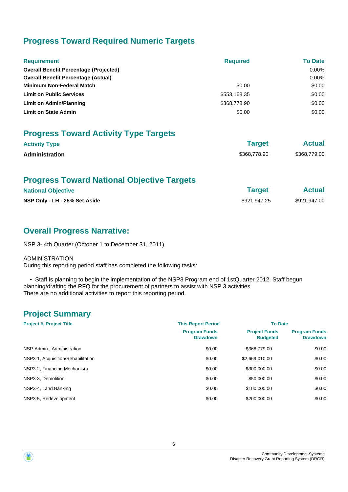# **Progress Toward Required Numeric Targets**

| <b>Requirement</b>                            | <b>Required</b> | <b>To Date</b> |
|-----------------------------------------------|-----------------|----------------|
| <b>Overall Benefit Percentage (Projected)</b> |                 | $0.00\%$       |
| <b>Overall Benefit Percentage (Actual)</b>    |                 | $0.00\%$       |
| <b>Minimum Non-Federal Match</b>              | \$0.00          | \$0.00         |
| <b>Limit on Public Services</b>               | \$553,168.35    | \$0.00         |
| Limit on Admin/Planning                       | \$368,778.90    | \$0.00         |
| <b>Limit on State Admin</b>                   | \$0.00          | \$0.00         |

# **Progress Toward Activity Type Targets**

| <b>Activity Type</b>  | <b>Target</b> | <b>Actual</b> |
|-----------------------|---------------|---------------|
| <b>Administration</b> | \$368,778.90  | \$368,779.00  |

# **Progress Toward National Objective Targets**

| <b>National Objective</b>     | <b>Target</b> | <b>Actual</b> |
|-------------------------------|---------------|---------------|
| NSP Only - LH - 25% Set-Aside | \$921,947,25  | \$921,947.00  |

# **Overall Progress Narrative:**

NSP 3- 4th Quarter (October 1 to December 31, 2011)

#### ADMINISTRATION

During this reporting period staff has completed the following tasks:

 • Staff is planning to begin the implementation of the NSP3 Program end of 1stQuarter 2012. Staff begun planning/drafting the RFQ for the procurement of partners to assist with NSP 3 activities. There are no additional activities to report this reporting period.

# **Project Summary**

| <b>Project #, Project Title</b>    | <b>This Report Period</b>               | <b>To Date</b>                          |                                         |
|------------------------------------|-----------------------------------------|-----------------------------------------|-----------------------------------------|
|                                    | <b>Program Funds</b><br><b>Drawdown</b> | <b>Project Funds</b><br><b>Budgeted</b> | <b>Program Funds</b><br><b>Drawdown</b> |
| NSP-Admin., Administration         | \$0.00                                  | \$368,779.00                            | \$0.00                                  |
| NSP3-1, Acquisition/Rehabilitation | \$0.00                                  | \$2,669,010.00                          | \$0.00                                  |
| NSP3-2, Financing Mechanism        | \$0.00                                  | \$300,000,00                            | \$0.00                                  |
| NSP3-3, Demolition                 | \$0.00                                  | \$50,000.00                             | \$0.00                                  |
| NSP3-4, Land Banking               | \$0.00                                  | \$100,000,00                            | \$0.00                                  |
| NSP3-5, Redevelopment              | \$0.00                                  | \$200,000,00                            | \$0.00                                  |

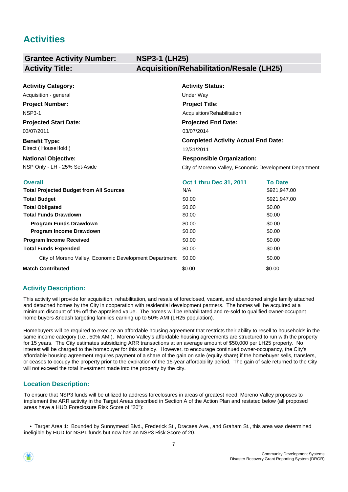# **Activities**

#### **Grantee Activity Number: NSP3-1 (LH25) Activity Title: Acquisition/Rehabilitation/Resale (LH25)**

| <b>Activitiy Category:</b>   | <b>Activity Status:</b>                    |
|------------------------------|--------------------------------------------|
| Acquisition - general        | Under Way                                  |
| <b>Project Number:</b>       | <b>Project Title:</b>                      |
| <b>NSP3-1</b>                | Acquisition/Rehabilitation                 |
| <b>Projected Start Date:</b> | <b>Projected End Date:</b>                 |
| 03/07/2011                   | 03/07/2014                                 |
| <b>Benefit Type:</b>         | <b>Completed Activity Actual End Date:</b> |
| Direct (HouseHold)           | 12/31/2011                                 |
| <b>National Objective:</b>   | <b>Responsible Organization:</b>           |

NSP Only - LH - 25% Set-Aside **City of Moreno Valley, Economic Development Department** 

| <b>Overall</b>                                         | Oct 1 thru Dec 31, 2011 | <b>To Date</b> |
|--------------------------------------------------------|-------------------------|----------------|
| <b>Total Projected Budget from All Sources</b>         | N/A                     | \$921,947.00   |
| <b>Total Budget</b>                                    | \$0.00                  | \$921,947.00   |
| <b>Total Obligated</b>                                 | \$0.00                  | \$0.00         |
| <b>Total Funds Drawdown</b>                            | \$0.00                  | \$0.00         |
| <b>Program Funds Drawdown</b>                          | \$0.00                  | \$0.00         |
| <b>Program Income Drawdown</b>                         | \$0.00                  | \$0.00         |
| <b>Program Income Received</b>                         | \$0.00                  | \$0.00         |
| <b>Total Funds Expended</b>                            | \$0.00                  | \$0.00         |
| City of Moreno Valley, Economic Development Department | \$0.00                  | \$0.00         |
| <b>Match Contributed</b>                               | \$0.00                  | \$0.00         |

### **Activity Description:**

This activity will provide for acquisition, rehabilitation, and resale of foreclosed, vacant, and abandoned single family attached and detached homes by the City in cooperation with residential development partners. The homes will be acquired at a minimum discount of 1% off the appraised value. The homes will be rehabilitated and re-sold to qualified owner-occupant home buyers &ndash targeting families earning up to 50% AMI (LH25 population).

Homebuyers will be required to execute an affordable housing agreement that restricts their ability to resell to households in the same income category (i.e., 50% AMI). Moreno Valley's affordable housing agreements are structured to run with the property for 15 years. The City estimates subsidizing ARR transactions at an average amount of \$50,000 per LH25 property. No interest will be charged to the homebuyer for this subsidy. However, to encourage continued owner-occupancy, the City's affordable housing agreement requires payment of a share of the gain on sale (equity share) if the homebuyer sells, transfers, or ceases to occupy the property prior to the expiration of the 15-year affordability period. The gain of sale returned to the City will not exceed the total investment made into the property by the city.

### **Location Description:**

To ensure that NSP3 funds will be utilized to address foreclosures in areas of greatest need, Moreno Valley proposes to implement the ARR activity in the Target Areas described in Section A of the Action Plan and restated below (all proposed areas have a HUD Foreclosure Risk Score of "20"):

 • Target Area 1: Bounded by Sunnymead Blvd., Frederick St., Dracaea Ave., and Graham St., this area was determined ineligible by HUD for NSP1 funds but now has an NSP3 Risk Score of 20.

7



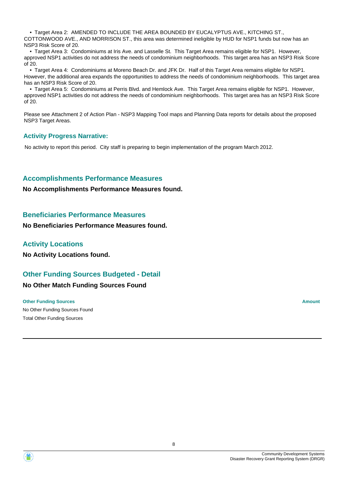• Target Area 2: AMENDED TO INCLUDE THE AREA BOUNDED BY EUCALYPTUS AVE., KITCHING ST., COTTONWOOD AVE., AND MORRISON ST., this area was determined ineligible by HUD for NSP1 funds but now has an NSP3 Risk Score of 20.

 • Target Area 3: Condominiums at Iris Ave. and Lasselle St. This Target Area remains eligible for NSP1. However, approved NSP1 activities do not address the needs of condominium neighborhoods. This target area has an NSP3 Risk Score of 20.

 • Target Area 4: Condominiums at Moreno Beach Dr. and JFK Dr. Half of this Target Area remains eligible for NSP1. However, the additional area expands the opportunities to address the needs of condominium neighborhoods. This target area has an NSP3 Risk Score of 20.

 • Target Area 5: Condominiums at Perris Blvd. and Hemlock Ave. This Target Area remains eligible for NSP1. However, approved NSP1 activities do not address the needs of condominium neighborhoods. This target area has an NSP3 Risk Score of 20.

Please see Attachment 2 of Action Plan - NSP3 Mapping Tool maps and Planning Data reports for details about the proposed NSP3 Target Areas.

#### **Activity Progress Narrative:**

No activity to report this period. City staff is preparing to begin implementation of the program March 2012.

### **Accomplishments Performance Measures**

**No Accomplishments Performance Measures found.**

### **Beneficiaries Performance Measures**

**No Beneficiaries Performance Measures found.**

### **Activity Locations**

**No Activity Locations found.**

### **Other Funding Sources Budgeted - Detail**

### **No Other Match Funding Sources Found**

No Other Funding Sources Found **Other Funding Sources Amount Amount Amount Amount Amount Amount Amount** Total Other Funding Sources

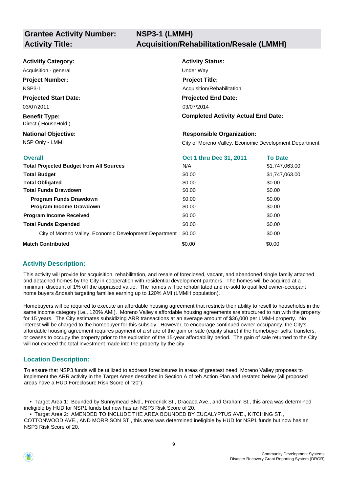| <b>Activitiy Category:</b>                     | <b>Activity Status:</b>                                |                |
|------------------------------------------------|--------------------------------------------------------|----------------|
| Acquisition - general                          | Under Way                                              |                |
| <b>Project Number:</b>                         | <b>Project Title:</b>                                  |                |
| <b>NSP3-1</b>                                  | Acquisition/Rehabilitation                             |                |
| <b>Projected Start Date:</b>                   | <b>Projected End Date:</b>                             |                |
| 03/07/2011                                     | 03/07/2014                                             |                |
| <b>Benefit Type:</b><br>Direct (HouseHold)     | <b>Completed Activity Actual End Date:</b>             |                |
| <b>National Objective:</b>                     | <b>Responsible Organization:</b>                       |                |
| NSP Only - LMMI                                | City of Moreno Valley, Economic Development Department |                |
| <b>Overall</b>                                 | Oct 1 thru Dec 31, 2011                                | <b>To Date</b> |
| <b>Total Projected Budget from All Sources</b> | N/A                                                    | \$1,747,063.00 |

| <b>Total Projected Budget from All Sources</b>         | N/A    | \$1,747,063.00 |
|--------------------------------------------------------|--------|----------------|
| <b>Total Budget</b>                                    | \$0.00 | \$1,747,063.00 |
| <b>Total Obligated</b>                                 | \$0.00 | \$0.00         |
| <b>Total Funds Drawdown</b>                            | \$0.00 | \$0.00         |
| <b>Program Funds Drawdown</b>                          | \$0.00 | \$0.00         |
| Program Income Drawdown                                | \$0.00 | \$0.00         |
| <b>Program Income Received</b>                         | \$0.00 | \$0.00         |
| <b>Total Funds Expended</b>                            | \$0.00 | \$0.00         |
| City of Moreno Valley, Economic Development Department | \$0.00 | \$0.00         |
| <b>Match Contributed</b>                               | \$0.00 | \$0.00         |

### **Activity Description:**

This activity will provide for acquisition, rehabilitation, and resale of foreclosed, vacant, and abandoned single family attached and detached homes by the City in cooperation with residential development partners. The homes will be acquired at a minimum discount of 1% off the appraised value. The homes will be rehabilitated and re-sold to qualified owner-occupant home buyers &ndash targeting families earning up to 120% AMI (LMMH population).

Homebuyers will be required to execute an affordable housing agreement that restricts their ability to resell to households in the same income category (i.e., 120% AMI). Moreno Valley's affordable housing agreements are structured to run with the property for 15 years. The City estimates subsidizing ARR transactions at an average amount of \$36,000 per LMMH property. No interest will be charged to the homebuyer for this subsidy. However, to encourage continued owner-occupancy, the City's affordable housing agreement requires payment of a share of the gain on sale (equity share) if the homebuyer sells, transfers, or ceases to occupy the property prior to the expiration of the 15-year affordability period. The gain of sale returned to the City will not exceed the total investment made into the property by the city.

### **Location Description:**

To ensure that NSP3 funds will be utilized to address foreclosures in areas of greatest need, Moreno Valley proposes to implement the ARR activity in the Target Areas described in Section A of teh Action Plan and restated below (all proposed areas have a HUD Foreclosure Risk Score of "20"):

 • Target Area 1: Bounded by Sunnymead Blvd., Frederick St., Dracaea Ave., and Graham St., this area was determined ineligible by HUD for NSP1 funds but now has an NSP3 Risk Score of 20.

 • Target Area 2: AMENDED TO INCLUDE THE AREA BOUNDED BY EUCALYPTUS AVE., KITCHING ST., COTTONWOOD AVE., AND MORRISON ST., this area was determined ineligible by HUD for NSP1 funds but now has an NSP3 Risk Score of 20.

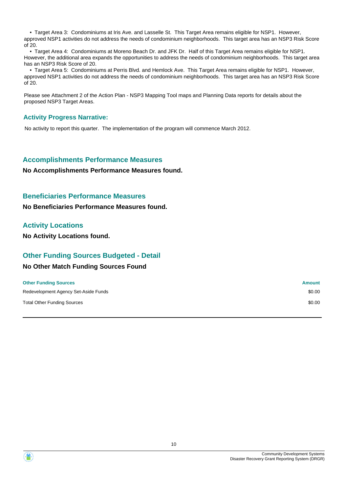• Target Area 3: Condominiums at Iris Ave. and Lasselle St. This Target Area remains eligible for NSP1. However, approved NSP1 activities do not address the needs of condominium neighborhoods. This target area has an NSP3 Risk Score of 20.

 • Target Area 4: Condominiums at Moreno Beach Dr. and JFK Dr. Half of this Target Area remains eligible for NSP1. However, the additional area expands the opportunities to address the needs of condominium neighborhoods. This target area has an NSP3 Risk Score of 20.

 • Target Area 5: Condominiums at Perris Blvd. and Hemlock Ave. This Target Area remains eligible for NSP1. However, approved NSP1 activities do not address the needs of condominium neighborhoods. This target area has an NSP3 Risk Score of 20.

Please see Attachment 2 of the Action Plan - NSP3 Mapping Tool maps and Planning Data reports for details about the proposed NSP3 Target Areas.

### **Activity Progress Narrative:**

No activity to report this quarter. The implementation of the program will commence March 2012.

### **Accomplishments Performance Measures**

#### **No Accomplishments Performance Measures found.**

#### **Beneficiaries Performance Measures**

**No Beneficiaries Performance Measures found.**

#### **Activity Locations**

**No Activity Locations found.**

### **Other Funding Sources Budgeted - Detail**

#### **No Other Match Funding Sources Found**

| <b>Other Funding Sources</b>         | <b>Amount</b> |
|--------------------------------------|---------------|
| Redevelopment Agency Set-Aside Funds | \$0.00        |
| <b>Total Other Funding Sources</b>   | \$0.00        |

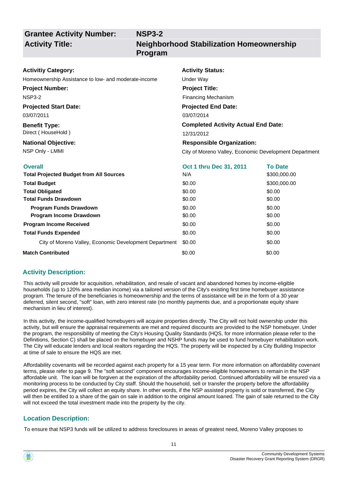# **Grantee Activity Number: Activity Title:**

### **NSP3-2 Neighborhood Stabilization Homeownership Program**

#### **Activitiy Category:**

Homeownership Assistance to low- and moderate-income Under Way

#### **Project Number:**

NSP3-2

#### **Projected Start Date:**

03/07/2011

#### **Benefit Type:** Direct ( HouseHold )

# **National Objective:**

# **Activity Status: Projected End Date: Completed Activity Actual End Date:** 03/07/2014 12/31/2012 **Responsible Organization: Project Title:** Financing Mechanism

NSP Only - LMMI City of Moreno Valley, Economic Development Department

| <b>Overall</b>                                         | <b>Oct 1 thru Dec 31, 2011</b> | <b>To Date</b> |
|--------------------------------------------------------|--------------------------------|----------------|
| <b>Total Projected Budget from All Sources</b>         | N/A                            | \$300,000.00   |
| <b>Total Budget</b>                                    | \$0.00                         | \$300,000.00   |
| <b>Total Obligated</b>                                 | \$0.00                         | \$0.00         |
| <b>Total Funds Drawdown</b>                            | \$0.00                         | \$0.00         |
| <b>Program Funds Drawdown</b>                          | \$0.00                         | \$0.00         |
| <b>Program Income Drawdown</b>                         | \$0.00                         | \$0.00         |
| <b>Program Income Received</b>                         | \$0.00                         | \$0.00         |
| <b>Total Funds Expended</b>                            | \$0.00                         | \$0.00         |
| City of Moreno Valley, Economic Development Department | \$0.00                         | \$0.00         |
| <b>Match Contributed</b>                               | \$0.00                         | \$0.00         |

### **Activity Description:**

This activity will provide for acquisition, rehabilitation, and resale of vacant and abandoned homes by income-eligible households (up to 120% area median income) via a tailored version of the City's existing first time homebuyer assistance program. The tenure of the beneficiaries is homeownership and the terms of assistance will be in the form of a 30 year deferred, silent second, "soft" loan, with zero interest rate (no monthly payments due, and a proportionate equity share mechanism in lieu of interest).

In this activity, the income-qualified homebuyers will acquire properties directly. The City will not hold ownership under this activity, but will ensure the appraisal requirements are met and required discounts are provided to the NSP homebuyer. Under the program, the responsibility of meeting the City's Housing Quality Standards (HQS, for more information please refer to the Definitions, Section C) shall be placed on the homebuyer and NSHP funds may be used to fund homebuyer rehabilitation work. The City will educate lenders and local realtors regarding the HQS. The property will be inspected by a City Building Inspector at time of sale to ensure the HQS are met.

Affordability covenants will be recorded against each property for a 15 year term. For more information on affordability covenant terms, please refer to page 9. The "soft second" component encourages income-eligible homeowners to remain in the NSP affordable unit. The loan will be forgiven at the expiration of the affordability period. Continued affordability will be ensured via a monitoring process to be conducted by City staff. Should the household, sell or transfer the property before the affordability period expires, the City will collect an equity share. In other words, if the NSP assisted property is sold or transferred, the City will then be entitled to a share of the gain on sale in addition to the original amount loaned. The gain of sale returned to the City will not exceed the total investment made into the property by the city.

### **Location Description:**

To ensure that NSP3 funds will be utilized to address foreclosures in areas of greatest need, Moreno Valley proposes to

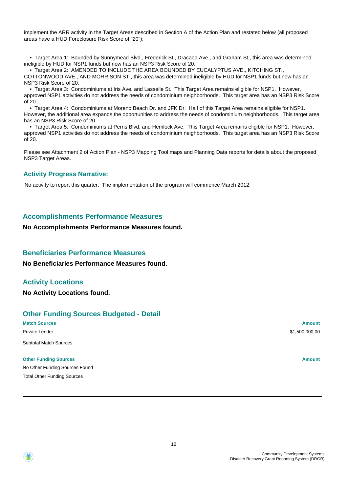implement the ARR activity in the Target Areas described in Section A of the Action Plan and restated below (all proposed areas have a HUD Foreclosure Risk Score of "20"):

 • Target Area 1: Bounded by Sunnymead Blvd., Frederick St., Dracaea Ave., and Graham St., this area was determined ineligible by HUD for NSP1 funds but now has an NSP3 Risk Score of 20.

 • Target Area 2: AMENDED TO INCLUDE THE AREA BOUNDED BY EUCALYPTUS AVE., KITCHING ST., COTTONWOOD AVE., AND MORRISON ST., this area was determined ineligible by HUD for NSP1 funds but now has an NSP3 Risk Score of 20.

 • Target Area 3: Condominiums at Iris Ave. and Lasselle St. This Target Area remains eligible for NSP1. However, approved NSP1 activities do not address the needs of condominium neighborhoods. This target area has an NSP3 Risk Score of 20.

 • Target Area 4: Condominiums at Moreno Beach Dr. and JFK Dr. Half of this Target Area remains eligible for NSP1. However, the additional area expands the opportunities to address the needs of condominium neighborhoods. This target area has an NSP3 Risk Score of 20.

 • Target Area 5: Condominiums at Perris Blvd. and Hemlock Ave. This Target Area remains eligible for NSP1. However, approved NSP1 activities do not address the needs of condominium neighborhoods. This target area has an NSP3 Risk Score of 20.

Please see Attachment 2 of Action Plan - NSP3 Mapping Tool maps and Planning Data reports for details about the proposed NSP3 Target Areas.

#### **Activity Progress Narrative:**

No activity to report this quarter. The implementation of the program will commence March 2012.

### **Accomplishments Performance Measures**

#### **No Accomplishments Performance Measures found.**

### **Beneficiaries Performance Measures**

**No Beneficiaries Performance Measures found.**

### **Activity Locations**

**No Activity Locations found.**

### **Other Funding Sources Budgeted - Detail**

**Match Sources Amount** Private Lender \$1,500,000.00 Subtotal Match Sources

#### **Other Funding Sources Amount Amount Amount Amount Amount Amount Amount**

No Other Funding Sources Found Total Other Funding Sources

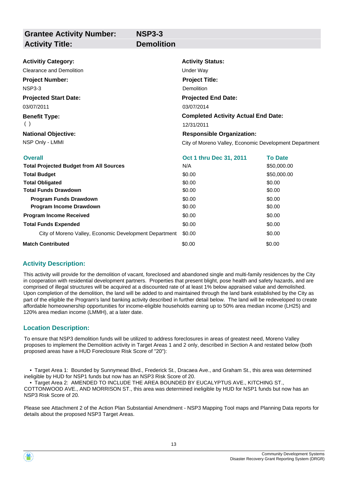| <b>Grantee Activity Number:</b>                        | <b>NSP3-3</b>     |                                                        |                |
|--------------------------------------------------------|-------------------|--------------------------------------------------------|----------------|
| <b>Activity Title:</b>                                 | <b>Demolition</b> |                                                        |                |
|                                                        |                   |                                                        |                |
| <b>Activitiy Category:</b>                             |                   | <b>Activity Status:</b>                                |                |
| <b>Clearance and Demolition</b>                        |                   | Under Way                                              |                |
| <b>Project Number:</b>                                 |                   | <b>Project Title:</b>                                  |                |
| <b>NSP3-3</b>                                          |                   | Demolition                                             |                |
| <b>Projected Start Date:</b>                           |                   | <b>Projected End Date:</b>                             |                |
| 03/07/2011                                             |                   | 03/07/2014                                             |                |
| <b>Benefit Type:</b>                                   |                   | <b>Completed Activity Actual End Date:</b>             |                |
| ( )                                                    |                   | 12/31/2011                                             |                |
| <b>National Objective:</b>                             |                   | <b>Responsible Organization:</b>                       |                |
| NSP Only - LMMI                                        |                   | City of Moreno Valley, Economic Development Department |                |
| <b>Overall</b>                                         |                   | Oct 1 thru Dec 31, 2011                                | <b>To Date</b> |
| <b>Total Projected Budget from All Sources</b>         |                   | N/A                                                    | \$50,000.00    |
| <b>Total Budget</b>                                    |                   | \$0.00                                                 | \$50,000.00    |
| <b>Total Obligated</b>                                 |                   | \$0.00                                                 | \$0.00         |
| <b>Total Funds Drawdown</b>                            |                   | \$0.00                                                 | \$0.00         |
| <b>Program Funds Drawdown</b>                          |                   | \$0.00                                                 | \$0.00         |
| Program Income Drawdown                                |                   | \$0.00                                                 | \$0.00         |
| <b>Program Income Received</b>                         |                   | \$0.00                                                 | \$0.00         |
| <b>Total Funds Expended</b>                            |                   | \$0.00                                                 | \$0.00         |
| City of Moreno Valley, Economic Development Department |                   | \$0.00                                                 | \$0.00         |
| <b>Match Contributed</b>                               |                   | \$0.00                                                 | \$0.00         |

### **Activity Description:**

This activity will provide for the demolition of vacant, foreclosed and abandoned single and multi-family residences by the City in cooperation with residential development partners. Properties that present blight, pose health and safety hazards, and are comprised of illegal structures will be acquired at a discounted rate of at least 1% below appraised value and demolished. Upon completion of the demolition, the land will be added to and maintained through the land bank established by the City as part of the eligible the Program's land banking activity described in further detail below. The land will be redeveloped to create affordable homeownership opportunities for income-eligible households earning up to 50% area median income (LH25) and 120% area median income (LMMH), at a later date.

### **Location Description:**

To ensure that NSP3 demolition funds will be utilized to address foreclosures in areas of greatest need, Moreno Valley proposes to implement the Demolition activity in Target Areas 1 and 2 only, described in Section A and restated below (both proposed areas have a HUD Foreclosure Risk Score of "20"):

 • Target Area 1: Bounded by Sunnymead Blvd., Frederick St., Dracaea Ave., and Graham St., this area was determined ineligible by HUD for NSP1 funds but now has an NSP3 Risk Score of 20.

 • Target Area 2: AMENDED TO INCLUDE THE AREA BOUNDED BY EUCALYPTUS AVE., KITCHING ST., COTTONWOOD AVE., AND MORRISON ST., this area was determined ineligible by HUD for NSP1 funds but now has an NSP3 Risk Score of 20.

Please see Attachment 2 of the Action Plan Substantial Amendment - NSP3 Mapping Tool maps and Planning Data reports for details about the proposed NSP3 Target Areas.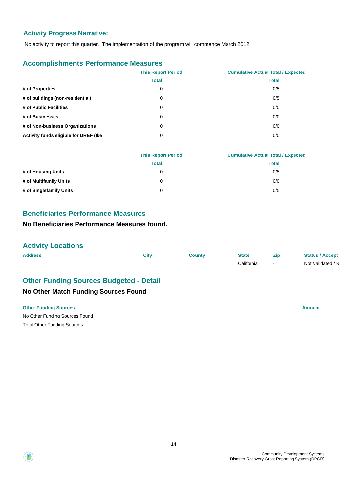### **Activity Progress Narrative:**

No activity to report this quarter. The implementation of the program will commence March 2012.

### **Accomplishments Performance Measures**

|                                       | <b>This Report Period</b> | <b>Cumulative Actual Total / Expected</b> |
|---------------------------------------|---------------------------|-------------------------------------------|
|                                       | <b>Total</b>              | <b>Total</b>                              |
| # of Properties                       | 0                         | 0/5                                       |
| # of buildings (non-residential)      | 0                         | 0/5                                       |
| # of Public Facilities                | 0                         | 0/0                                       |
| # of Businesses                       | 0                         | 0/0                                       |
| # of Non-business Organizations       | 0                         | 0/0                                       |
| Activity funds eligible for DREF (Ike | 0                         | 0/0                                       |

|                         | <b>This Report Period</b> | <b>Cumulative Actual Total / Expected</b> |
|-------------------------|---------------------------|-------------------------------------------|
|                         | <b>Total</b>              | Total                                     |
| # of Housing Units      | 0                         | 0/5                                       |
| # of Multifamily Units  | 0                         | 0/0                                       |
| # of Singlefamily Units | 0                         | 0/5                                       |

### **Beneficiaries Performance Measures**

### **No Beneficiaries Performance Measures found.**

### **Activity Locations**

| <b>Address</b>                                                                                | <b>City</b> | <b>County</b> | <b>State</b><br>California | Zip<br>$\overline{\phantom{a}}$ | <b>Status / Accept</b><br>Not Validated / N |
|-----------------------------------------------------------------------------------------------|-------------|---------------|----------------------------|---------------------------------|---------------------------------------------|
| <b>Other Funding Sources Budgeted - Detail</b><br><b>No Other Match Funding Sources Found</b> |             |               |                            |                                 |                                             |
| <b>Other Funding Sources</b><br>No Other Funding Sources Found                                |             |               |                            |                                 | <b>Amount</b>                               |
| <b>Total Other Funding Sources</b>                                                            |             |               |                            |                                 |                                             |



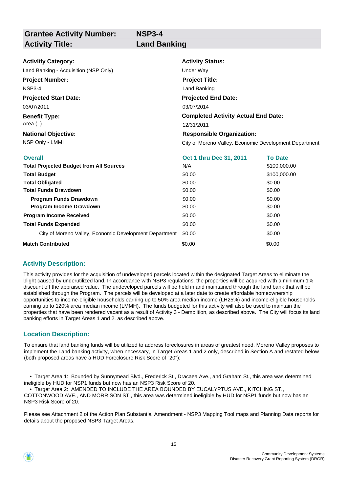**Grantee Activity Number:**

### **NSP3-4 Activity Title: Land Banking**

| <b>Activitiy Category:</b>                     | <b>Activity Status:</b>                    |                                                        |  |  |
|------------------------------------------------|--------------------------------------------|--------------------------------------------------------|--|--|
| Land Banking - Acquisition (NSP Only)          | Under Way                                  |                                                        |  |  |
| <b>Project Number:</b>                         | <b>Project Title:</b>                      |                                                        |  |  |
| NSP3-4                                         | Land Banking                               |                                                        |  |  |
| <b>Projected Start Date:</b>                   | <b>Projected End Date:</b>                 |                                                        |  |  |
| 03/07/2011                                     | 03/07/2014                                 |                                                        |  |  |
| <b>Benefit Type:</b>                           | <b>Completed Activity Actual End Date:</b> |                                                        |  |  |
| Area ()                                        | 12/31/2011                                 |                                                        |  |  |
| <b>National Objective:</b>                     | <b>Responsible Organization:</b>           |                                                        |  |  |
| NSP Only - LMMI                                |                                            | City of Moreno Valley, Economic Development Department |  |  |
| <b>Overall</b>                                 | Oct 1 thru Dec 31, 2011                    | <b>To Date</b>                                         |  |  |
| <b>Total Projected Budget from All Sources</b> | N/A                                        | \$100,000.00                                           |  |  |
| <b>Total Budget</b>                            | \$0.00                                     | \$100,000.00                                           |  |  |
| <b>Total Obligated</b>                         | \$0.00                                     | \$0.00                                                 |  |  |
| <b>Total Funds Drawdown</b>                    | \$0.00                                     | \$0.00                                                 |  |  |
| Program Funds Drawdown                         | \$0.00                                     | \$0.00                                                 |  |  |
| Program Income Drawdown                        | \$0.00                                     | \$0.00                                                 |  |  |
| <b>Program Income Received</b>                 | \$0.00                                     | \$0.00                                                 |  |  |
| <b>Total Funds Expended</b>                    | \$0.00                                     | \$0.00                                                 |  |  |
|                                                |                                            |                                                        |  |  |

# **Match Contributed**

#### **Activity Description:**

This activity provides for the acquisition of undeveloped parcels located within the designated Target Areas to eliminate the blight caused by underutilized land. In accordance with NSP3 regulations, the properties will be acquired with a minimum 1% discount off the appraised value. The undeveloped parcels will be held in and maintained through the land bank that will be established through the Program. The parcels will be developed at a later date to create affordable homeownership opportunities to income-eligible households earning up to 50% area median income (LH25%) and income-eligible households earning up to 120% area median income (LMMH). The funds budgeted for this activity will also be used to maintain the properties that have been rendered vacant as a result of Activity 3 - Demolition, as described above. The City will focus its land banking efforts in Target Areas 1 and 2, as described above.

City of Moreno Valley, Economic Development Department \$0.00 \$0.00 \$0.00

\$0.00

#### **Location Description:**

To ensure that land banking funds will be utilized to address foreclosures in areas of greatest need, Moreno Valley proposes to implement the Land banking activity, when necessary, in Target Areas 1 and 2 only, described in Section A and restated below (both proposed areas have a HUD Foreclosure Risk Score of "20"):

 • Target Area 1: Bounded by Sunnymead Blvd., Frederick St., Dracaea Ave., and Graham St., this area was determined ineligible by HUD for NSP1 funds but now has an NSP3 Risk Score of 20.

 • Target Area 2: AMENDED TO INCLUDE THE AREA BOUNDED BY EUCALYPTUS AVE., KITCHING ST., COTTONWOOD AVE., AND MORRISON ST., this area was determined ineligible by HUD for NSP1 funds but now has an NSP3 Risk Score of 20.

Please see Attachment 2 of the Action Plan Substantial Amendment - NSP3 Mapping Tool maps and Planning Data reports for details about the proposed NSP3 Target Areas.

\$0.00

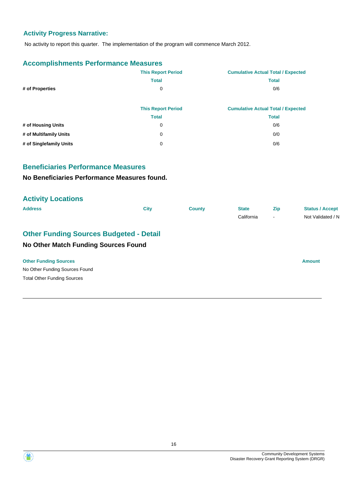### **Activity Progress Narrative:**

No activity to report this quarter. The implementation of the program will commence March 2012.

### **Accomplishments Performance Measures**

|                         | <b>This Report Period</b> | <b>Cumulative Actual Total / Expected</b> |
|-------------------------|---------------------------|-------------------------------------------|
|                         | <b>Total</b>              | <b>Total</b>                              |
| # of Properties         | 0                         | 0/6                                       |
|                         | <b>This Report Period</b> | <b>Cumulative Actual Total / Expected</b> |
|                         | <b>Total</b>              | <b>Total</b>                              |
| # of Housing Units      | 0                         | 0/6                                       |
| # of Multifamily Units  | 0                         | 0/0                                       |
| # of Singlefamily Units | 0                         | 0/6                                       |

### **Beneficiaries Performance Measures**

### **No Beneficiaries Performance Measures found.**

| <b>Activity Locations</b>                      |             |               |              |                |                        |
|------------------------------------------------|-------------|---------------|--------------|----------------|------------------------|
| <b>Address</b>                                 | <b>City</b> | <b>County</b> | <b>State</b> | Zip            | <b>Status / Accept</b> |
|                                                |             |               | California   | $\blacksquare$ | Not Validated / N      |
| <b>Other Funding Sources Budgeted - Detail</b> |             |               |              |                |                        |
| No Other Match Funding Sources Found           |             |               |              |                |                        |
| <b>Other Funding Sources</b>                   |             |               |              |                | <b>Amount</b>          |
| No Other Funding Sources Found                 |             |               |              |                |                        |
| <b>Total Other Funding Sources</b>             |             |               |              |                |                        |



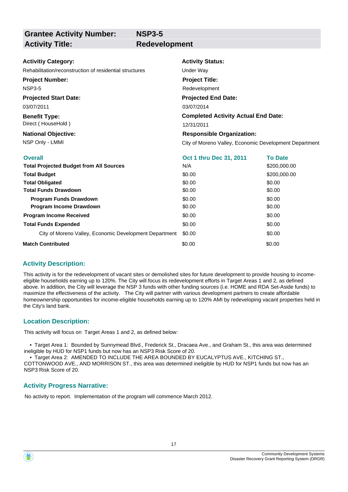**Grantee Activity Number: Activity Title:** Redevelopment

**NSP3-5**

#### **Activitiy Category:**

Rehabilitation/reconstruction of residential structures Under Way

**Project Number:**

NSP3-5

**Projected Start Date:**

03/07/2011

**Benefit Type:** Direct ( HouseHold )

# **National Objective:**

### **Activity Status:**

**Project Title:**

Redevelopment

**Projected End Date:**

03/07/2014

#### **Completed Activity Actual End Date:**

12/31/2011

### **Responsible Organization:**

NSP Only - LMMI **NATURE 2018** City of Moreno Valley, Economic Development Department

| <b>Overall</b>                                         | <b>Oct 1 thru Dec 31, 2011</b> | <b>To Date</b> |
|--------------------------------------------------------|--------------------------------|----------------|
| <b>Total Projected Budget from All Sources</b>         | N/A                            | \$200,000.00   |
| <b>Total Budget</b>                                    | \$0.00                         | \$200,000.00   |
| <b>Total Obligated</b>                                 | \$0.00                         | \$0.00         |
| <b>Total Funds Drawdown</b>                            | \$0.00                         | \$0.00         |
| <b>Program Funds Drawdown</b>                          | \$0.00                         | \$0.00         |
| <b>Program Income Drawdown</b>                         | \$0.00                         | \$0.00         |
| <b>Program Income Received</b>                         | \$0.00                         | \$0.00         |
| <b>Total Funds Expended</b>                            | \$0.00                         | \$0.00         |
| City of Moreno Valley, Economic Development Department | \$0.00                         | \$0.00         |
| <b>Match Contributed</b>                               | \$0.00                         | \$0.00         |

### **Activity Description:**

This activity is for the redevelopment of vacant sites or demolished sites for future development to provide housing to incomeeligible households earning up to 120%. The City will focus its redevelopment efforts in Target Areas 1 and 2, as defined above. In addition, the City will leverage the NSP 3 funds with other funding sources (i.e. HOME and RDA Set-Aside funds) to maximize the effectiveness of the activity. The City will partner with various development partners to create affordable homeownership opportunities for income-eligible households earning up to 120% AMI by redeveloping vacant properties held in the City's land bank.

### **Location Description:**

This activity will focus on Target Areas 1 and 2, as defined below:

 • Target Area 1: Bounded by Sunnymead Blvd., Frederick St., Dracaea Ave., and Graham St., this area was determined ineligible by HUD for NSP1 funds but now has an NSP3 Risk Score of 20.

 • Target Area 2: AMENDED TO INCLUDE THE AREA BOUNDED BY EUCALYPTUS AVE., KITCHING ST., COTTONWOOD AVE., AND MORRISON ST., this area was determined ineligible by HUD for NSP1 funds but now has an NSP3 Risk Score of 20.

### **Activity Progress Narrative:**

No activity to report. Implementation of the program will commence March 2012.

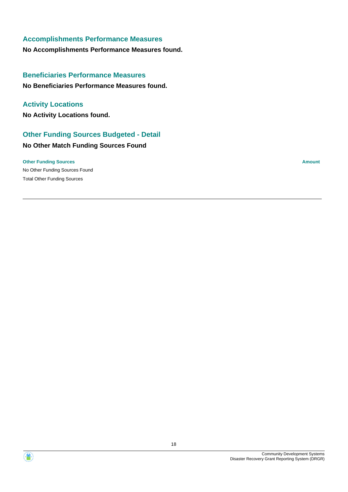### **Accomplishments Performance Measures**

**No Accomplishments Performance Measures found.**

### **Beneficiaries Performance Measures**

**No Beneficiaries Performance Measures found.**

### **Activity Locations**

**No Activity Locations found.**

### **Other Funding Sources Budgeted - Detail**

# **No Other Match Funding Sources Found**

No Other Funding Sources Found **Other Funding Sources Amount Amount Amount Amount Amount Amount Amount** Total Other Funding Sources

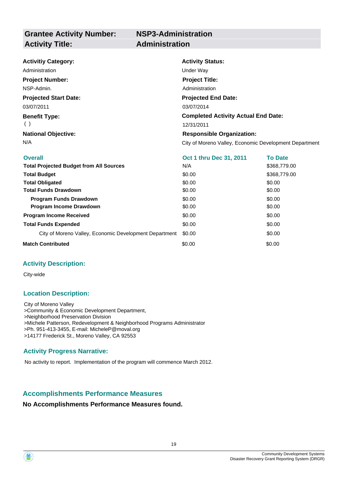# **NSP3-Administration**

| <b>Activitiy Category:</b>                     | <b>Activity Status:</b>                                |                |  |  |
|------------------------------------------------|--------------------------------------------------------|----------------|--|--|
| Administration                                 | Under Way                                              |                |  |  |
| <b>Project Number:</b>                         | <b>Project Title:</b>                                  |                |  |  |
| NSP-Admin.                                     | Administration                                         |                |  |  |
| <b>Projected Start Date:</b>                   | <b>Projected End Date:</b>                             |                |  |  |
| 03/07/2011                                     | 03/07/2014                                             |                |  |  |
| <b>Benefit Type:</b>                           | <b>Completed Activity Actual End Date:</b>             |                |  |  |
| ( )                                            | 12/31/2011                                             |                |  |  |
| <b>National Objective:</b>                     | <b>Responsible Organization:</b>                       |                |  |  |
| N/A                                            | City of Moreno Valley, Economic Development Department |                |  |  |
| <b>Overall</b>                                 | Oct 1 thru Dec 31, 2011                                | <b>To Date</b> |  |  |
| <b>Total Projected Budget from All Sources</b> | N/A                                                    | \$368,779.00   |  |  |
| <b>Total Budget</b>                            | \$0.00                                                 | \$368,779.00   |  |  |
| <b>Total Obligated</b>                         | \$0.00<br>\$0.00                                       |                |  |  |
| <b>Total Eunde Drowdown</b>                    | ድስ ሰሰ<br>ድስ ሰሰ                                         |                |  |  |

| <b>Total Obligated</b>                                 | \$0.00 | \$0.00 |
|--------------------------------------------------------|--------|--------|
| <b>Total Funds Drawdown</b>                            | \$0.00 | \$0.00 |
| <b>Program Funds Drawdown</b>                          | \$0.00 | \$0.00 |
| <b>Program Income Drawdown</b>                         | \$0.00 | \$0.00 |
| <b>Program Income Received</b>                         | \$0.00 | \$0.00 |
| <b>Total Funds Expended</b>                            | \$0.00 | \$0.00 |
| City of Moreno Valley, Economic Development Department | \$0.00 | \$0.00 |
| <b>Match Contributed</b>                               | \$0.00 | \$0.00 |

### **Activity Description:**

City-wide

### **Location Description:**

City of Moreno Valley >Community & Economic Development Department, >Neighborhood Preservation Division >Michele Patterson, Redevelopment & Neighborhood Programs Administrator >Ph. 951-413-3455, E-mail: MicheleP@moval.org >14177 Frederick St., Moreno Valley, CA 92553

### **Activity Progress Narrative:**

No activity to report. Implementation of the program will commence March 2012.

### **Accomplishments Performance Measures**

### **No Accomplishments Performance Measures found.**